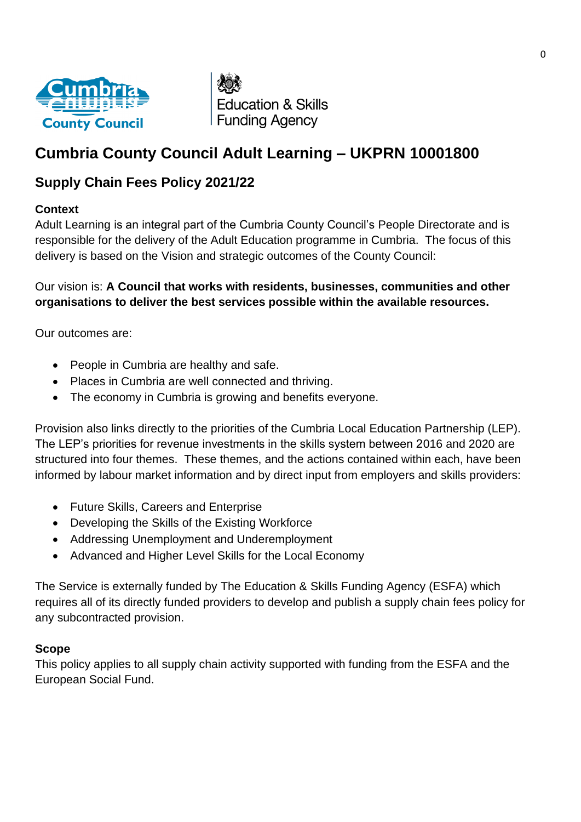

**Education & Skills Funding Agency** 

# **Cumbria County Council Adult Learning – UKPRN 10001800**

# **Supply Chain Fees Policy 2021/22**

## **Context**

Adult Learning is an integral part of the Cumbria County Council's People Directorate and is responsible for the delivery of the Adult Education programme in Cumbria. The focus of this delivery is based on the Vision and strategic outcomes of the County Council:

# Our vision is: **A Council that works with residents, businesses, communities and other organisations to deliver the best services possible within the available resources.**

Our outcomes are:

- People in Cumbria are healthy and safe.
- Places in Cumbria are well connected and thriving.
- The economy in Cumbria is growing and benefits everyone.

Provision also links directly to the priorities of the Cumbria Local Education Partnership (LEP). The LEP's priorities for revenue investments in the skills system between 2016 and 2020 are structured into four themes. These themes, and the actions contained within each, have been informed by labour market information and by direct input from employers and skills providers:

- Future Skills, Careers and Enterprise
- Developing the Skills of the Existing Workforce
- Addressing Unemployment and Underemployment
- Advanced and Higher Level Skills for the Local Economy

The Service is externally funded by The Education & Skills Funding Agency (ESFA) which requires all of its directly funded providers to develop and publish a supply chain fees policy for any subcontracted provision.

# **Scope**

This policy applies to all supply chain activity supported with funding from the ESFA and the European Social Fund.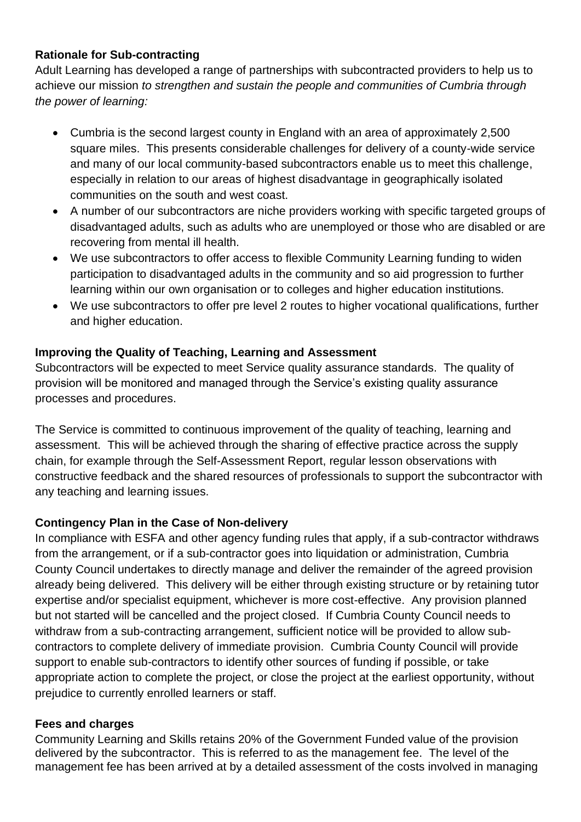## **Rationale for Sub-contracting**

Adult Learning has developed a range of partnerships with subcontracted providers to help us to achieve our mission *to strengthen and sustain the people and communities of Cumbria through the power of learning:*

- Cumbria is the second largest county in England with an area of approximately 2,500 square miles. This presents considerable challenges for delivery of a county-wide service and many of our local community-based subcontractors enable us to meet this challenge, especially in relation to our areas of highest disadvantage in geographically isolated communities on the south and west coast.
- A number of our subcontractors are niche providers working with specific targeted groups of disadvantaged adults, such as adults who are unemployed or those who are disabled or are recovering from mental ill health.
- We use subcontractors to offer access to flexible Community Learning funding to widen participation to disadvantaged adults in the community and so aid progression to further learning within our own organisation or to colleges and higher education institutions.
- We use subcontractors to offer pre level 2 routes to higher vocational qualifications, further and higher education.

## **Improving the Quality of Teaching, Learning and Assessment**

Subcontractors will be expected to meet Service quality assurance standards. The quality of provision will be monitored and managed through the Service's existing quality assurance processes and procedures.

The Service is committed to continuous improvement of the quality of teaching, learning and assessment. This will be achieved through the sharing of effective practice across the supply chain, for example through the Self-Assessment Report, regular lesson observations with constructive feedback and the shared resources of professionals to support the subcontractor with any teaching and learning issues.

#### **Contingency Plan in the Case of Non-delivery**

In compliance with ESFA and other agency funding rules that apply, if a sub-contractor withdraws from the arrangement, or if a sub-contractor goes into liquidation or administration, Cumbria County Council undertakes to directly manage and deliver the remainder of the agreed provision already being delivered. This delivery will be either through existing structure or by retaining tutor expertise and/or specialist equipment, whichever is more cost-effective. Any provision planned but not started will be cancelled and the project closed. If Cumbria County Council needs to withdraw from a sub-contracting arrangement, sufficient notice will be provided to allow subcontractors to complete delivery of immediate provision. Cumbria County Council will provide support to enable sub-contractors to identify other sources of funding if possible, or take appropriate action to complete the project, or close the project at the earliest opportunity, without prejudice to currently enrolled learners or staff.

#### **Fees and charges**

Community Learning and Skills retains 20% of the Government Funded value of the provision delivered by the subcontractor. This is referred to as the management fee. The level of the management fee has been arrived at by a detailed assessment of the costs involved in managing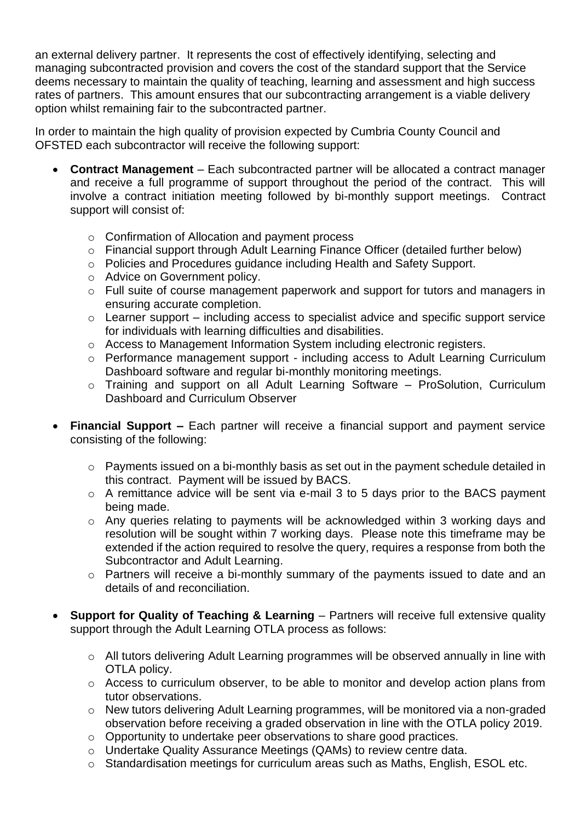an external delivery partner. It represents the cost of effectively identifying, selecting and managing subcontracted provision and covers the cost of the standard support that the Service deems necessary to maintain the quality of teaching, learning and assessment and high success rates of partners. This amount ensures that our subcontracting arrangement is a viable delivery option whilst remaining fair to the subcontracted partner.

In order to maintain the high quality of provision expected by Cumbria County Council and OFSTED each subcontractor will receive the following support:

- **Contract Management** Each subcontracted partner will be allocated a contract manager and receive a full programme of support throughout the period of the contract. This will involve a contract initiation meeting followed by bi-monthly support meetings. Contract support will consist of:
	- o Confirmation of Allocation and payment process
	- o Financial support through Adult Learning Finance Officer (detailed further below)
	- o Policies and Procedures guidance including Health and Safety Support.
	- o Advice on Government policy.
	- $\circ$  Full suite of course management paperwork and support for tutors and managers in ensuring accurate completion.
	- $\circ$  Learner support including access to specialist advice and specific support service for individuals with learning difficulties and disabilities.
	- o Access to Management Information System including electronic registers.
	- o Performance management support including access to Adult Learning Curriculum Dashboard software and regular bi-monthly monitoring meetings.
	- o Training and support on all Adult Learning Software ProSolution, Curriculum Dashboard and Curriculum Observer
- **Financial Support –** Each partner will receive a financial support and payment service consisting of the following:
	- o Payments issued on a bi-monthly basis as set out in the payment schedule detailed in this contract. Payment will be issued by BACS.
	- o A remittance advice will be sent via e-mail 3 to 5 days prior to the BACS payment being made.
	- o Any queries relating to payments will be acknowledged within 3 working days and resolution will be sought within 7 working days. Please note this timeframe may be extended if the action required to resolve the query, requires a response from both the Subcontractor and Adult Learning.
	- o Partners will receive a bi-monthly summary of the payments issued to date and an details of and reconciliation.
- **Support for Quality of Teaching & Learning** Partners will receive full extensive quality support through the Adult Learning OTLA process as follows:
	- o All tutors delivering Adult Learning programmes will be observed annually in line with OTLA policy.
	- $\circ$  Access to curriculum observer, to be able to monitor and develop action plans from tutor observations.
	- o New tutors delivering Adult Learning programmes, will be monitored via a non-graded observation before receiving a graded observation in line with the OTLA policy 2019.
	- o Opportunity to undertake peer observations to share good practices.
	- o Undertake Quality Assurance Meetings (QAMs) to review centre data.
	- o Standardisation meetings for curriculum areas such as Maths, English, ESOL etc.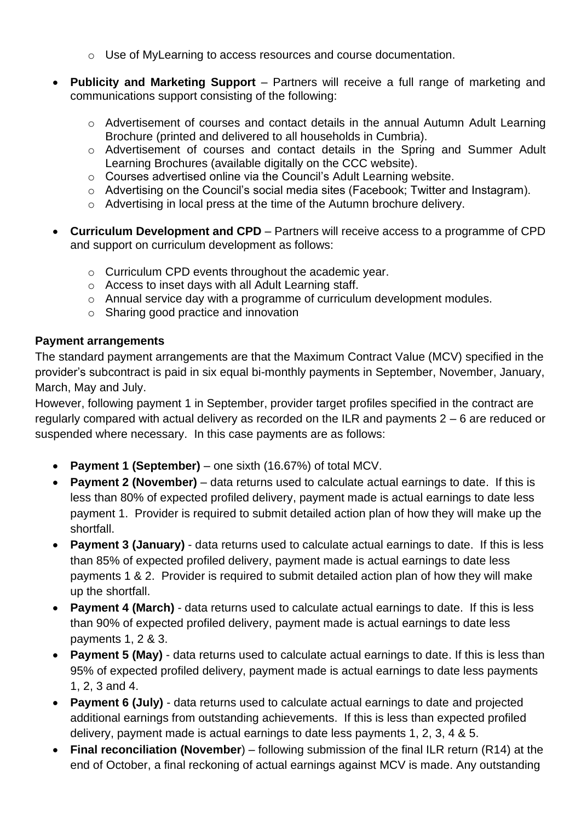- $\circ$  Use of MyLearning to access resources and course documentation.
- **Publicity and Marketing Support** Partners will receive a full range of marketing and communications support consisting of the following:
	- o Advertisement of courses and contact details in the annual Autumn Adult Learning Brochure (printed and delivered to all households in Cumbria).
	- o Advertisement of courses and contact details in the Spring and Summer Adult Learning Brochures (available digitally on the CCC website).
	- o Courses advertised online via the Council's Adult Learning website.
	- o Advertising on the Council's social media sites (Facebook; Twitter and Instagram).
	- o Advertising in local press at the time of the Autumn brochure delivery.
- **Curriculum Development and CPD** Partners will receive access to a programme of CPD and support on curriculum development as follows:
	- o Curriculum CPD events throughout the academic year.
	- o Access to inset days with all Adult Learning staff.
	- o Annual service day with a programme of curriculum development modules.
	- o Sharing good practice and innovation

#### **Payment arrangements**

The standard payment arrangements are that the Maximum Contract Value (MCV) specified in the provider's subcontract is paid in six equal bi-monthly payments in September, November, January, March, May and July.

However, following payment 1 in September, provider target profiles specified in the contract are regularly compared with actual delivery as recorded on the ILR and payments 2 – 6 are reduced or suspended where necessary. In this case payments are as follows:

- **Payment 1 (September)** one sixth (16.67%) of total MCV.
- **Payment 2 (November)** data returns used to calculate actual earnings to date. If this is less than 80% of expected profiled delivery, payment made is actual earnings to date less payment 1. Provider is required to submit detailed action plan of how they will make up the shortfall.
- **Payment 3 (January)** data returns used to calculate actual earnings to date. If this is less than 85% of expected profiled delivery, payment made is actual earnings to date less payments 1 & 2. Provider is required to submit detailed action plan of how they will make up the shortfall.
- **Payment 4 (March)** data returns used to calculate actual earnings to date. If this is less than 90% of expected profiled delivery, payment made is actual earnings to date less payments 1, 2 & 3.
- **Payment 5 (May)** data returns used to calculate actual earnings to date. If this is less than 95% of expected profiled delivery, payment made is actual earnings to date less payments 1, 2, 3 and 4.
- **Payment 6 (July)** data returns used to calculate actual earnings to date and projected additional earnings from outstanding achievements. If this is less than expected profiled delivery, payment made is actual earnings to date less payments 1, 2, 3, 4 & 5.
- **Final reconciliation (November**) following submission of the final ILR return (R14) at the end of October, a final reckoning of actual earnings against MCV is made. Any outstanding